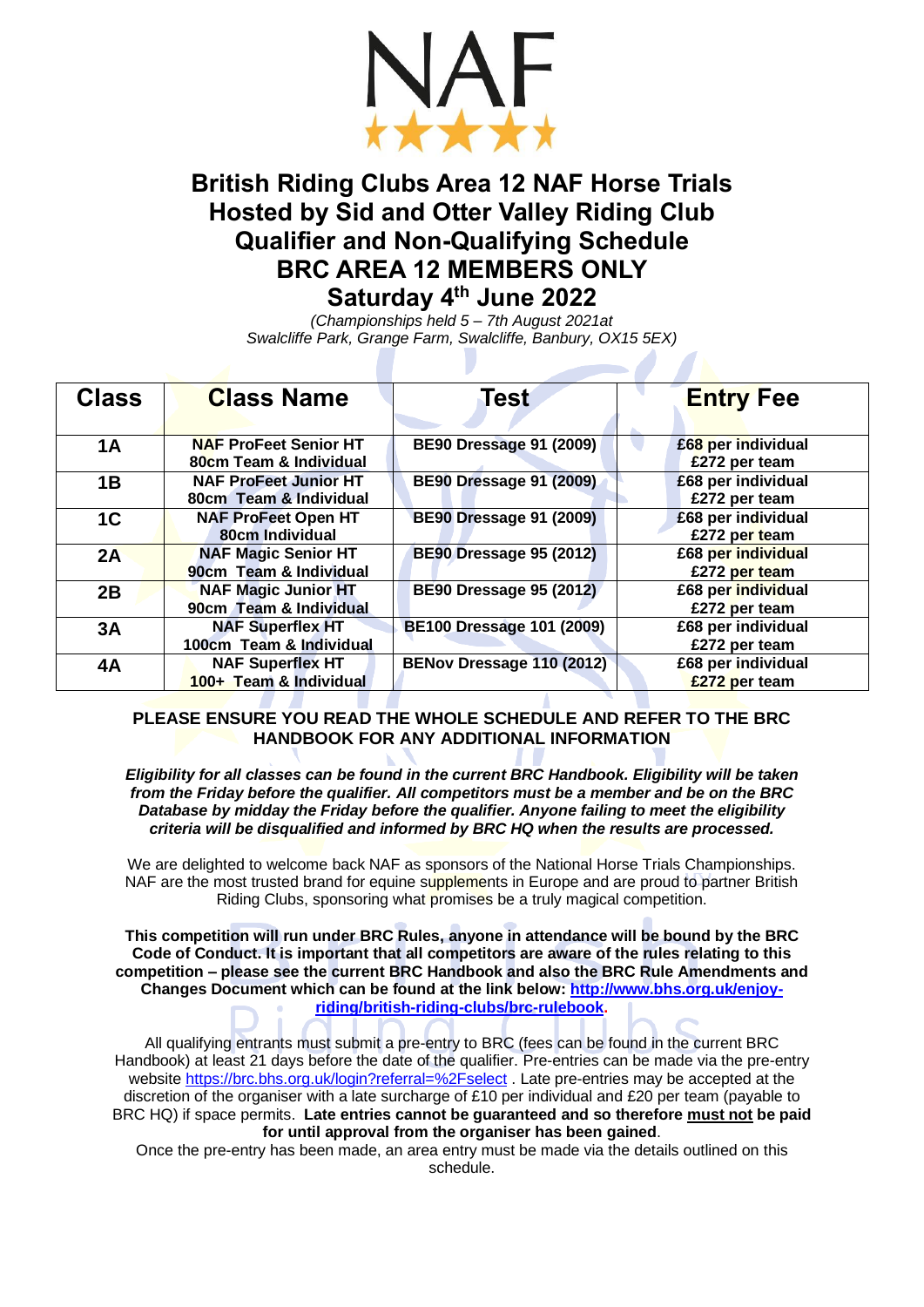

# **British Riding Clubs Area 12 NAF Horse Trials Hosted by Sid and Otter Valley Riding Club Qualifier and Non-Qualifying Schedule BRC AREA 12 MEMBERS ONLY Saturday 4th June 2022**

*(Championships held 5 – 7th August 2021at Swalcliffe Park, Grange Farm, Swalcliffe, Banbury, OX15 5EX)*

<u>and the second part of the second part of the second part of the second part of the second part of the second part of the second part of the second part of the second part of the second part of the second part of the seco</u>

| <b>Class</b>   | <b>Class Name</b>            | Test                             | <b>Entry Fee</b>   |
|----------------|------------------------------|----------------------------------|--------------------|
|                |                              |                                  |                    |
| 1A             | <b>NAF ProFeet Senior HT</b> | <b>BE90 Dressage 91 (2009)</b>   | £68 per individual |
|                | 80cm Team & Individual       |                                  | £272 per team      |
| 1B             | <b>NAF ProFeet Junior HT</b> | <b>BE90 Dressage 91 (2009)</b>   | £68 per individual |
|                | 80cm Team & Individual       |                                  | £272 per team      |
| 1 <sup>C</sup> | <b>NAF ProFeet Open HT</b>   | <b>BE90 Dressage 91 (2009)</b>   | £68 per individual |
|                | 80cm Individual              |                                  | £272 per team      |
| 2A             | <b>NAF Magic Senior HT</b>   | <b>BE90 Dressage 95 (2012)</b>   | £68 per individual |
|                | 90cm Team & Individual       |                                  | £272 per team      |
| 2B             | <b>NAF Magic Junior HT</b>   | <b>BE90 Dressage 95 (2012)</b>   | £68 per individual |
|                | 90cm Team & Individual       |                                  | £272 per team      |
| 3A             | <b>NAF Superflex HT</b>      | <b>BE100 Dressage 101 (2009)</b> | £68 per individual |
|                | 100cm Team & Individual      |                                  | £272 per team      |
| 4A             | <b>NAF Superflex HT</b>      | BENov Dressage 110 (2012)        | £68 per individual |
|                | 100+ Team & Individual       |                                  | £272 per team      |

## **PLEASE ENSURE YOU READ THE WHOLE SCHEDULE AND REFER TO THE BRC HANDBOOK FOR ANY ADDITIONAL INFORMATION**

*Eligibility for all classes can be found in the current BRC Handbook. Eligibility will be taken from the Friday before the qualifier. All competitors must be a member and be on the BRC Database by midday the Friday before the qualifier. Anyone failing to meet the eligibility criteria will be disqualified and informed by BRC HQ when the results are processed.*

We are delighted to welcome back NAF as sponsors of the National Horse Trials Championships. NAF are the most trusted brand for equine supplements in Europe and are proud to partner British Riding Clubs, sponsoring what promises be a truly magical competition.

**This competition will run under BRC Rules, anyone in attendance will be bound by the BRC Code of Conduct. It is important that all competitors are aware of the rules relating to this competition – please see the current BRC Handbook and also the BRC Rule Amendments and Changes Document which can be found at the link below: [http://www.bhs.org.uk/enjoy](http://www.bhs.org.uk/enjoy-riding/british-riding-clubs/brc-rulebook)[riding/british-riding-clubs/brc-rulebook.](http://www.bhs.org.uk/enjoy-riding/british-riding-clubs/brc-rulebook)**

All qualifying entrants must submit a pre-entry to BRC (fees can be found in the current BRC Handbook) at least 21 days before the date of the qualifier. Pre-entries can be made via the pre-entry website<https://brc.bhs.org.uk/login?referral=%2Fselect> . Late pre-entries may be accepted at the discretion of the organiser with a late surcharge of £10 per individual and £20 per team (payable to BRC HQ) if space permits. **Late entries cannot be guaranteed and so therefore must not be paid for until approval from the organiser has been gained**.

Once the pre-entry has been made, an area entry must be made via the details outlined on this schedule.